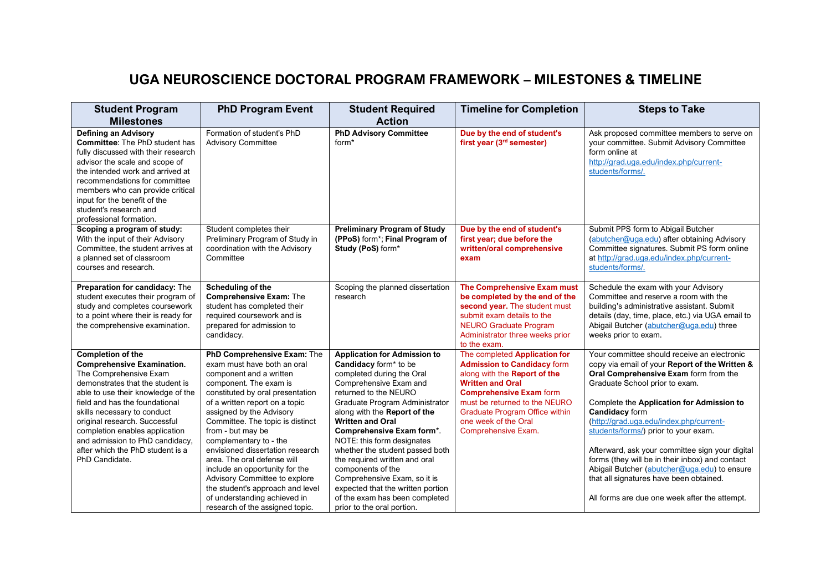## **UGA NEUROSCIENCE DOCTORAL PROGRAM FRAMEWORK – MILESTONES & TIMELINE**

| <b>Student Program</b>                                                                                                                                                                                                                                                                                                                                                                         | <b>PhD Program Event</b>                                                                                                                                                                                                                                                                                                                                                                                                                                                                                                                          | <b>Student Required</b>                                                                                                                                                                                                                                                                                                                                                                                                                                                                                                            | <b>Timeline for Completion</b>                                                                                                                                                                                                                                                            | <b>Steps to Take</b>                                                                                                                                                                                                                                                                                                                                                                                                                                                                                                                                                                |
|------------------------------------------------------------------------------------------------------------------------------------------------------------------------------------------------------------------------------------------------------------------------------------------------------------------------------------------------------------------------------------------------|---------------------------------------------------------------------------------------------------------------------------------------------------------------------------------------------------------------------------------------------------------------------------------------------------------------------------------------------------------------------------------------------------------------------------------------------------------------------------------------------------------------------------------------------------|------------------------------------------------------------------------------------------------------------------------------------------------------------------------------------------------------------------------------------------------------------------------------------------------------------------------------------------------------------------------------------------------------------------------------------------------------------------------------------------------------------------------------------|-------------------------------------------------------------------------------------------------------------------------------------------------------------------------------------------------------------------------------------------------------------------------------------------|-------------------------------------------------------------------------------------------------------------------------------------------------------------------------------------------------------------------------------------------------------------------------------------------------------------------------------------------------------------------------------------------------------------------------------------------------------------------------------------------------------------------------------------------------------------------------------------|
| <b>Milestones</b>                                                                                                                                                                                                                                                                                                                                                                              |                                                                                                                                                                                                                                                                                                                                                                                                                                                                                                                                                   | <b>Action</b>                                                                                                                                                                                                                                                                                                                                                                                                                                                                                                                      |                                                                                                                                                                                                                                                                                           |                                                                                                                                                                                                                                                                                                                                                                                                                                                                                                                                                                                     |
| Defining an Advisory<br><b>Committee:</b> The PhD student has<br>fully discussed with their research<br>advisor the scale and scope of<br>the intended work and arrived at<br>recommendations for committee<br>members who can provide critical<br>input for the benefit of the<br>student's research and<br>professional formation.                                                           | Formation of student's PhD<br><b>Advisory Committee</b>                                                                                                                                                                                                                                                                                                                                                                                                                                                                                           | <b>PhD Advisory Committee</b><br>form <sup>*</sup>                                                                                                                                                                                                                                                                                                                                                                                                                                                                                 | Due by the end of student's<br>first year (3 <sup>rd</sup> semester)                                                                                                                                                                                                                      | Ask proposed committee members to serve on<br>your committee. Submit Advisory Committee<br>form online at<br>http://grad.uga.edu/index.php/current-<br>students/forms/.                                                                                                                                                                                                                                                                                                                                                                                                             |
| Scoping a program of study:<br>With the input of their Advisory<br>Committee, the student arrives at<br>a planned set of classroom<br>courses and research.                                                                                                                                                                                                                                    | Student completes their<br>Preliminary Program of Study in<br>coordination with the Advisory<br>Committee                                                                                                                                                                                                                                                                                                                                                                                                                                         | <b>Preliminary Program of Study</b><br>(PPoS) form*; Final Program of<br>Study (PoS) form*                                                                                                                                                                                                                                                                                                                                                                                                                                         | Due by the end of student's<br>first year; due before the<br>written/oral comprehensive<br>exam                                                                                                                                                                                           | Submit PPS form to Abigail Butcher<br>(abutcher@uga.edu) after obtaining Advisory<br>Committee signatures. Submit PS form online<br>at http://grad.uga.edu/index.php/current-<br>students/forms/.                                                                                                                                                                                                                                                                                                                                                                                   |
| Preparation for candidacy: The<br>student executes their program of<br>study and completes coursework<br>to a point where their is ready for<br>the comprehensive examination.                                                                                                                                                                                                                 | <b>Scheduling of the</b><br><b>Comprehensive Exam: The</b><br>student has completed their<br>required coursework and is<br>prepared for admission to<br>candidacy.                                                                                                                                                                                                                                                                                                                                                                                | Scoping the planned dissertation<br>research                                                                                                                                                                                                                                                                                                                                                                                                                                                                                       | <b>The Comprehensive Exam must</b><br>be completed by the end of the<br>second year. The student must<br>submit exam details to the<br><b>NEURO Graduate Program</b><br>Administrator three weeks prior<br>to the exam.                                                                   | Schedule the exam with your Advisory<br>Committee and reserve a room with the<br>building's administrative assistant. Submit<br>details (day, time, place, etc.) via UGA email to<br>Abigail Butcher (abutcher@uga.edu) three<br>weeks prior to exam.                                                                                                                                                                                                                                                                                                                               |
| <b>Completion of the</b><br><b>Comprehensive Examination.</b><br>The Comprehensive Exam<br>demonstrates that the student is<br>able to use their knowledge of the<br>field and has the foundational<br>skills necessary to conduct<br>original research. Successful<br>completion enables application<br>and admission to PhD candidacy,<br>after which the PhD student is a<br>PhD Candidate. | PhD Comprehensive Exam: The<br>exam must have both an oral<br>component and a written<br>component. The exam is<br>constituted by oral presentation<br>of a written report on a topic<br>assigned by the Advisory<br>Committee. The topic is distinct<br>from - but may be<br>complementary to - the<br>envisioned dissertation research<br>area. The oral defense will<br>include an opportunity for the<br>Advisory Committee to explore<br>the student's approach and level<br>of understanding achieved in<br>research of the assigned topic. | <b>Application for Admission to</b><br>Candidacy form* to be<br>completed during the Oral<br>Comprehensive Exam and<br>returned to the NEURO<br>Graduate Program Administrator<br>along with the Report of the<br><b>Written and Oral</b><br>Comprehensive Exam form*.<br>NOTE: this form designates<br>whether the student passed both<br>the required written and oral<br>components of the<br>Comprehensive Exam, so it is<br>expected that the written portion<br>of the exam has been completed<br>prior to the oral portion. | The completed Application for<br><b>Admission to Candidacy form</b><br>along with the Report of the<br><b>Written and Oral</b><br><b>Comprehensive Exam form</b><br>must be returned to the NEURO<br><b>Graduate Program Office within</b><br>one week of the Oral<br>Comprehensive Exam. | Your committee should receive an electronic<br>copy via email of your Report of the Written &<br>Oral Comprehensive Exam form from the<br>Graduate School prior to exam.<br>Complete the Application for Admission to<br><b>Candidacy form</b><br>(http://grad.uga.edu/index.php/current-<br>students/forms/) prior to your exam.<br>Afterward, ask your committee sign your digital<br>forms (they will be in their inbox) and contact<br>Abigail Butcher (abutcher@uga.edu) to ensure<br>that all signatures have been obtained.<br>All forms are due one week after the attempt. |